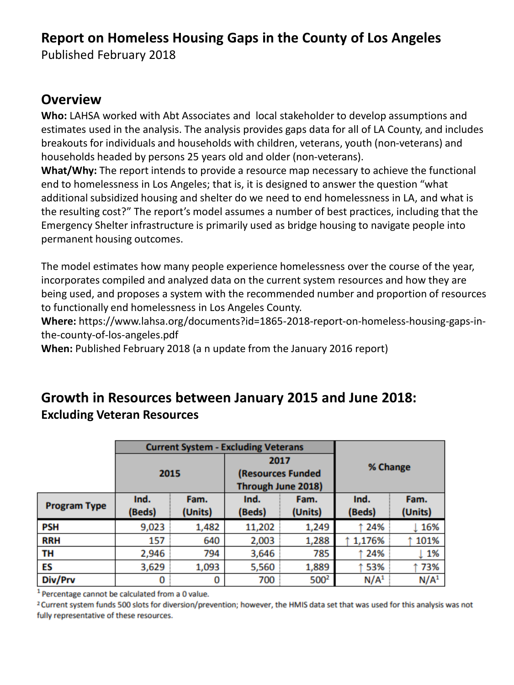## **Report on Homeless Housing Gaps in the County of Los Angeles**

Published February 2018

#### **Overview**

**Who:** LAHSA worked with Abt Associates and local stakeholder to develop assumptions and estimates used in the analysis. The analysis provides gaps data for all of LA County, and includes breakouts for individuals and households with children, veterans, youth (non-veterans) and households headed by persons 25 years old and older (non-veterans).

**What/Why:** The report intends to provide a resource map necessary to achieve the functional end to homelessness in Los Angeles; that is, it is designed to answer the question "what additional subsidized housing and shelter do we need to end homelessness in LA, and what is the resulting cost?" The report's model assumes a number of best practices, including that the Emergency Shelter infrastructure is primarily used as bridge housing to navigate people into permanent housing outcomes.

The model estimates how many people experience homelessness over the course of the year, incorporates compiled and analyzed data on the current system resources and how they are being used, and proposes a system with the recommended number and proportion of resources to functionally end homelessness in Los Angeles County.

**Where:** https://www.lahsa.org/documents?id=1865-2018-report-on-homeless-housing-gaps-inthe-county-of-los-angeles.pdf

**When:** Published February 2018 (a n update from the January 2016 report)

### **Growth in Resources between January 2015 and June 2018: Excluding Veteran Resources**

|                     |        | <b>Current System - Excluding Veterans</b> |                    |                  |                  |                  |
|---------------------|--------|--------------------------------------------|--------------------|------------------|------------------|------------------|
|                     |        |                                            | 2017               |                  |                  |                  |
|                     | 2015   |                                            | (Resources Funded  |                  | % Change         |                  |
|                     |        |                                            | Through June 2018) |                  |                  |                  |
| <b>Program Type</b> | Ind.   | Fam.                                       | Ind.               | Fam.             | Ind.             | Fam.             |
|                     | (Beds) | (Units)                                    | (Beds)             | (Units)          | (Beds)           | (Units)          |
| <b>PSH</b>          | 9,023  | 1,482                                      | 11,202             | 1,249            | ↑ 24%            | 16%              |
| <b>RRH</b>          | 157    | 640                                        | 2,003              | 1,288            | 1,176%           | 101%             |
| ΤН                  | 2,946  | 794                                        | 3,646              | 785              | 24%              | 1%               |
| ES                  | 3,629  | 1,093                                      | 5,560              | 1,889            | ↑53%             | 73%              |
| Div/Prv             | 0      | 0                                          | 700                | 500 <sup>2</sup> | N/A <sup>1</sup> | N/A <sup>1</sup> |

<sup>1</sup> Percentage cannot be calculated from a 0 value.

<sup>2</sup> Current system funds 500 slots for diversion/prevention; however, the HMIS data set that was used for this analysis was not fully representative of these resources.